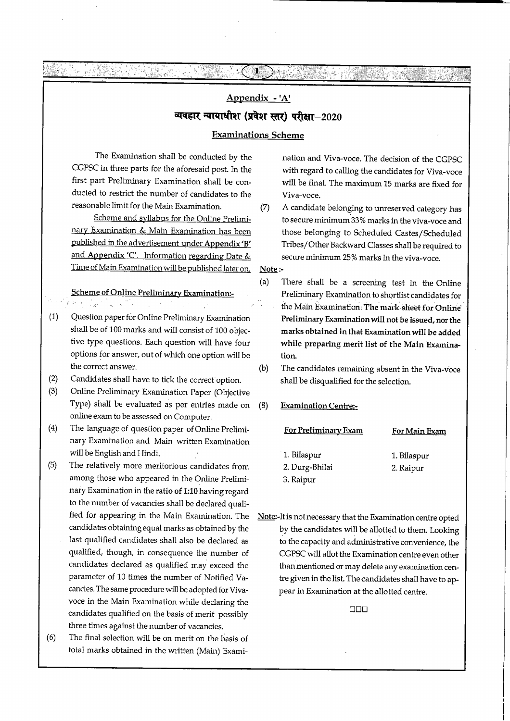# Appendix - 'A' व्यवहार न्यायाधीश (प्रवेश स्तर) परीक्षा $-2020$

Я.

#### Examinations Scheme

The Examination shall be conducted by the CGPSC in three parts for the aforesaid post. In the first part Preliminary Examination shall be conducted to restrict the number of candidates to the reasonable limit for the Main Examination.

G : 시설관

ASKO I MAJORADO

22명~ 46.

Scheme and syllabus for the Online Prelimi nary Examination & Main Examination has heen published in the advertisement under Appendix'B' and Appendix 'C'. Information regarding Date & Time of Main Examination wiU be published later on.

#### Scheme of Online Preliminary Examination:-  $\mathcal{L}^{\mathcal{L}}$

 $\alpha$  and  $\alpha$  is a set of  $\alpha$ 

i sama salah sahiji désa di kacamatan.<br>Kacamatan Sumaran Sumaran

- (1) Question paper for Online Preliminary Examination shall be of 100 marks and will consist of 100 objec tive type questions. Each question will have four options for answer, out of which one option wiU be the correct answer.
- (2) Candidates shall have to tick the correct option.
- (3) Online Preliminary Examination Paper (Objective Type) shall be evaluated as per entries made on online exam to be assessed on Computer.
- (4) The language of question paper of Online Preliminary Examination and Main written Examination wiU be English and Hindi.
- (5) The relatively more meritorious candidates from among those who appeared in the Online Prelimi nary Examination in the ratio of 1:10 having regard to the number of vacancies shall be declared quali fied for appearing in the Main Examination. The candidates obtaining equal marks as obtained by the last qualified candidates shall also be declared as qualified, though, in consequence the number of candidates declared as qualified may exceed the parameter of 10 times the number of Notified Vacancies. The same procedure will be adopted for Vivavoce in the Main Examination while declaring the candidates qualified on the basis of merit possibly three times against the number of vacancies.
- (6) The final selection will be on merit on the basis of total marks obtained in the written (Main) Exami-

nation and Viva-voce. The decision of the CGPSC with regard to calling the candidates for Viva-voce will be final. The maximum 15 marks are fixed for Viva-voce.

Brasil (1958-1958), and

(7) A candidate belonging to unreserved category has to secure minimum 33% marks in the viva-voce and those belonging to Scheduled Castes/Scheduled Tribes/Other Backward Classes shall be required to secure minimum 25% marks in the viva-voce.

Note:-

- (a) There shall be a screening test in the Online Preliminary Examination to shortiist candidates for the Main Examination. The mark sheet for Online Preliminary Examination will not be issued, nor the marks obtained in that Examination will be added while preparing merit list of the Main Examina tion.
- (b) The candidates remaining absent in the Viva-voce shall be disqualified for the selection.
- (8) Examination Centre:-

For Preliminary Exam

| 1. Bilaspur    | 1. Bilaspur |
|----------------|-------------|
| 2. Durg-Bhilai | 2. Raipur   |
| 3. Raipur      |             |

For Main Exam

Note:-It is not necessary that the Examination centre opted by the candidates will be allotted to them. Looking to the capacity and administrative convenience, the CGPSC wiU aUot the Examination centre even other than mentioned or may delete any examination cen tre given in the list. The candidates shall have to ap pear in Examination at the allotted centre.

□□□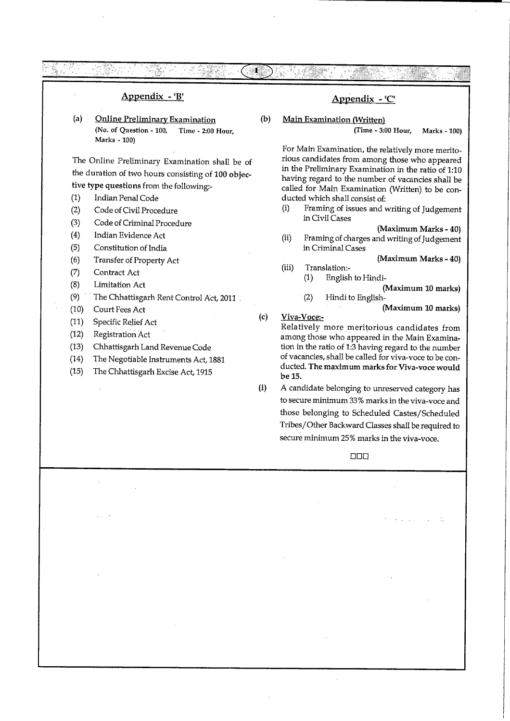Appendix - 'B' (a) Online Preliminary Examination (No. of Question - 100, Time - 2:00 Hour, Marks - 100) The Online Preliminary Examination shaU be of the duration of two hours consisting of 100 objec tive type questions from the following:- (1) Indian Penal Code (2) Code of Civil Procedure (3) Code of Criminal Procedure (4) Indian Evidence Act (5) Constitution of India (б) Transfer of Property Act (7) Contract Act (8) Limitation Act (9) The Chhattisgarh Rent Control Act, 2011 (10) Court Fees Act (11) Specific Relief Act (12) Registration Act (13) Chhattisgarh Land Revenue Code (14) The Negotiable Instruments Act, 1881 (15) The Chhattisgarh Excise Act, 1915 (b) (c) (i) Appendix - 'C Main Examination (Written) (Time - 3:00 Hour, Marks -100) For Main Examination, the relatively more merito rious candidates from among those who appeared in the Preliminary Examination in the ratio of 1:10 having regard to the number of vacancies shall be called for Main Examination (Written) to be con ducted which shall consist of: (i) Framing of issues and writing of Judgement in Civil Cases (Maximum Marks - 40) (ii) Framing of charges and writing of Judgement in Criminal Cases (Maximum Marks - 40) (iii) Translation:- (1) English to Hindi- (Maximum 10 marks) (2) Hindi to English- (Maximum 10 marks) Viva-Voce:- Relatively more meritorious candidates from among those who appeared in the Main Examina tion in the ratio of 1:3 having regard to the number of vacancies, shall be caUed for viva-voce to be con ducted. The maximum marks for Viva-voce would be 15. A candidate belonging to unreserved category has to secure minimum 33% marks in the viva-voce and those belonging to Scheduled Castes/Scheduled Tribes/Other Backward Classes shall be required to secure minimum 25% marks in the viva-voce.

ī

□□□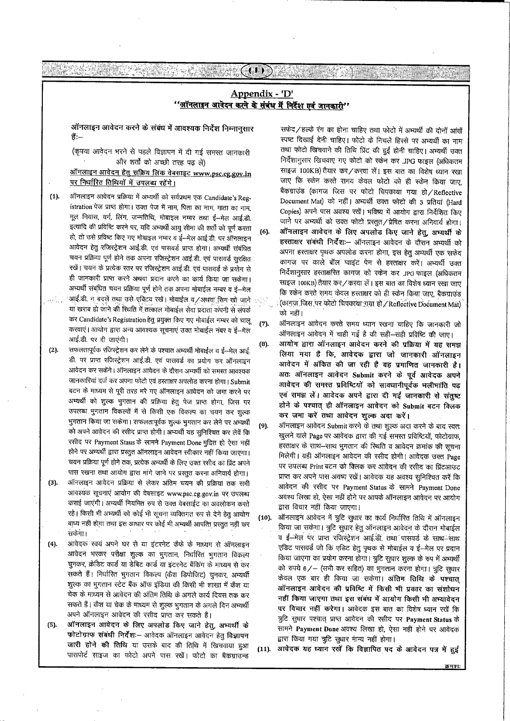## Appendix - 'D' <u>''ऑनलाइन आवेदन करने के संबंध में निर्देश एवं जानकारी''</u>

 $(1)$ 

ऑनलाइन आवेदन करने के संबंध में आवश्यक निर्देश निम्नानुसार हैं:—

(कृपया आवेदन भरने से पहले विज्ञापन में दी गई समस्त जानकारी और शर्तों को अच्छी तरह पढ़ लें)

### <u>ऑनलाइन आवेदन हेतु सक्रिय लिंक वेबसाइट www.psc.cg.gov.in</u> पर निर्धारित तिथियों में उपलब्ध रहेंगे।

- ऑनलाइन आवेदन प्रक्रिया में अभ्यर्थी को सर्वप्रथम एक Candidate's Reg- $(1).$ istration पेज प्राप्त होगा। उक्त पेज में नाम, पिता का नाम, माता का नाम, मूल निवास, वर्ग, लिंग, जन्मतिथि, मोबाइल नम्बर तथा ई-मेल आई.डी. इत्यादि की प्रविष्टि करने पर, यदि अभ्यर्थी आयु सीमा की शर्तों को पूर्ण करता हो, तो उसे प्रविष्ट किए गए मोबाइल नम्बर व ई-मेल आई.डी. पर ऑनलाइन आवेदन हेतु रजिस्ट्रेशन आई.डी. एवं पासवर्ड प्राप्त होगा। अभ्यर्थी संबंधित चयन प्रक्रिया पूर्ण होने तक अपना रजिस्ट्रेशन आई.डी. एवं पासवर्ड सुरक्षित रखें। चयन के प्रत्येक स्तर पर रजिस्ट्रेशन आई.डी. एवं पासवर्ड के प्रयोग से ही जानकारी प्राप्त करने अथवा प्रदान करने का कार्य किया जा सकेगा। अभ्यर्थी संबंधित चयन प्रक्रिया पूर्ण होने तक अपना मोबाईल नम्बर व ई—मेल आई.डी. न बदलें तथा उसे एक्टिव रखें। मोबाईल व /अथवा सिम खो जाने
- या खराब हो जाने की स्थिति में तत्काल मोबाईल सेवा प्रदाता कंपनी से संपर्क कर Candidate's Registration हेतु प्रयुक्त किए गए मोबाईल नम्बर को चालू करवाएं। आयोग द्वारा अन्य आवश्यक सूचनाएं उक्त मोबाईल नंबर व ईं-मेल आई.डी. पर दी जाएंगी।
- $(2).$ सफलतापूर्वक रजिस्ट्रेशन कर लेने के पश्चात अभ्यर्थी मोबाईल व ई-मेल आई. डी. पर प्राप्त रजिस्ट्रेशन आई.डी. एवं पासवर्ड का प्रयोग कर ऑनलाइन आवेदन कर सकेंगे। ऑनलाइन आवेदन के दौरान अभ्यर्थी को समस्त आवश्यक जानकारियां दर्ज कर अपना फोटो एवं हस्ताक्षर अपलोड करना होगा। Submit बटन के माध्यम से पूरी तरह भरे गए ऑनलाइन आवेदन को जमा करने पर अभ्यर्थी को शुल्क भुगतान की प्रक्रिया हेतु पेज प्राप्त होगा, जिस पर उपलब्ध भुगतान विकल्पों में से किसी एक विकल्प का चयन कर शुल्क भुगतान किया जा सकेगा। सफलतापूर्वक शुल्क भुगतान कर लेने पर अभ्यर्थी को अपने आवेदन की रसीद प्राप्त होगी। अभ्यर्थी यह सुनिश्चित कर लेवें कि रसीद पर Payment Staus के सामने Payment Done मुद्रित हो ऐसा नहीं होने पर अभ्यर्थी द्वारा प्रस्तुत ऑनलाइन आवेदन स्वीकार नहीं किया जाएगा। चयन प्रक्रिया पूर्ण होने तक, प्रत्येक अभ्यर्थी के लिए उक्त रसीद का प्रिंट अपने पास रखना तथा आयोग द्वारा मांगे जाने पर प्रस्तुत करना अनिवार्य होगा।  $(3).$ ऑनलाइन आवेदन प्रक्रिया से लेकर अंतिम चयन की प्रक्रिया तक सभी आवश्यक सूचनाएं आयोग की वेबसाइट www.psc.cg.gov.in पर उपलब्ध कराई जाएंगी। अभ्यर्थी नियमित रुप से उक्त वेबसाईट का अवलोकन करते रहे। किसी भी अभ्यर्थी को कोई भी सूचना व्यक्तिगत रुप से देने हेतु आयोग बाध्य नहीं होगा तथा इस आधार पर कोई भी अभ्यर्थी आपत्ति प्रस्तुत नहीं कर सकेगा।
- आवेदक स्वयं अपने घर से या इंटरनेट कैफे के माध्यम से ऑनलाइन  $(4).$ आवेदन भरकर परीक्षा शुल्क का भुगतान, निर्धारित भुगतान विकल्प चुनकर, क्रेडिट कार्ड या डेबिट कार्ड या इंटरनेट बैंकिंग के माध्यम से कर सकते हैं। निर्धारित भुगतान विकल्प (कैश डिपोजिट) चुनकर, अभ्यर्थी शुल्क का भुगतान स्टेट बैंक ऑफ इंडिया की किसी भी शाखा में कैश या चेक के माध्यम से आवेदन की अंतिम तिथि के अगले कार्य दिवस तक कर सकते हैं। कैश या चेक के माध्यम से शुल्क भुगतान के अगले दिन अभ्यर्थी अपने ऑनलाइन आवेदन की रसीद प्राप्त कर सकते हैं।
- ऑनलाइन आवेदन के लिए अपलोड किए जाने हेतू, अभ्यर्थी के  $(5)$ . फोटोग्राफ संबंधी निर्देश :- आवेदक ऑनलाइन आवेदन हेतू विज्ञापन जारी होने की तिथि या उसके बाद की तिथि में खिचवाया हुआ पासपोर्ट साइज का फोटो अपने पास रखें। फोटो का बैकग्राउन्ड

सफेद/हल्के रंग का होना चाहिए तथा फोटो में अभ्यर्थी की दोनों आंखें स्पष्ट दिखाई देनी चाहिए। फोटो के निचले हिस्से पर अभ्यर्थी का नाम तथा फोटो खिचवाने की तिथि प्रिंट की हुई होनी चाहिए। अभ्यर्थी उक्त निर्देशानुसार खिचवाए गए फोटो को स्केन कर .JPG फाइल (अधिकतम साइज 100KB) तैयार कर / करवा लें। इस बात का विशेष ध्यान रखा जाए कि स्केन करते समय केवल फोटो को ही स्केन किया जाए, बैकग्राउंड (कागज जिस पर फोटो चिपकाया गया हो / Reflective Document Mat) को नहीं। अभ्यर्थी उक्त फोटो की 3 प्रतियां (Hard Copies) अपने पास अवश्य रखें। भविष्य में आयोग द्वारा निर्देशित किए जाने पर अभ्यर्थी को उक्त फोटो प्रस्तुत/प्रेषित करना अनिवार्य होगा। ऑनलाइन आवेदन के लिए अपलोड किए जाने हेतु, अभ्यर्थी के  $(6)$ हस्ताक्षर संबंधी निर्देशः- ऑनलाइन आवेदन के दौरान अभ्यर्थी को अपना हस्ताक्षर पृथक अपलोड करना होगा, इस हेतु अभ्यर्थी एक सफेद कागज पर काले बॉल प्वाइंट पेन से हस्ताक्षर करें। अभ्यर्थी उक्त निर्देशानुसार हस्ताक्षरित कागज को स्केन कर JPG फाइल (अधिकतम साइज 100KB) तैयार कर / करवा लें। इस बात का विशेष ध्यान रखा जाए कि स्केन करते समय केवल हस्ताक्षर को ही स्केन किया जाए, बैकग्राउंड (कागज जिस पर फोटो चिपकाया गया हो / Reflective Document Mat) को नहीं।

en Separat<br>1920an - Po

 $(7).$ ऑनलाइन आवेदन करते समय ध्यान रखना चाहिए कि जानकारी जो ऑनलाइन आवेदन में चाही गई है की सही-सही प्रविष्टि की जाए।

आयोग द्वारा ऑनलाइन आवेदन करने की प्रक्रिया में यह समझ  $(8).$ लिया गया है कि, आवेदक द्वारा जो जानकारी ऑनलाइन आवेदन में अंकित की जा रही है वह प्रमाणित जानकारी है। अतः ऑनलाइन आवेदन Submit करने के पूर्व आवेदक अपने आवेदन की समस्त प्रविष्टियों को सावधानीपूर्वक भलीभांति पढ़ एवं समझ लें। आवेदक अपने द्वारा दी गई जानकारी से संतुष्ट होने के पश्चात् ही ऑनलाइन आवेदन को Submit बटन क्लिक कर जमा करें तथा आवेदन शुल्क अदा करें।

 $(9)$ . ऑनलाइन आवेदन Submit करने के तथा शुल्क अदा करने के बाद स्वतः खुलने वाले Page पर आवेदक द्वारा की गई समस्त प्रविष्टियों, फोटोग्राफ, हस्ताक्षर के साथ-साथ भुगतान की स्थिति व आवेदन क्रमांक की सूचना मिलेगी। यही ऑनलाइन आवेदन की रसीद होगी। आवेदक उक्त Page पर उपलब्ध Print बटन को क्लिक कर आवेदन की रसीद का प्रिंटआउट प्राप्त कर अपने पास अवष्य रखें। आवेदक यह अवश्य सूनिश्चित करें कि आवेदन की रसीद पर Payment Status के सामने Payment Done अवश्य लिखा हो, ऐसा नहीं होने पर आपके ऑनलाइन आवेदन पर आयोग द्वारा विचार नहीं किया जाएगा।

ऑनलाइन आवेदन में त्रुटि सुधार का कार्य निर्धारित तिथि में ऑनलाइन  $(10).$ किया जा सकेगा। त्रुटि सुधार हेतु ऑनलाइन आवेदन के दौरान मोबाईल व ई-मेल पर प्राप्त रजिस्ट्रेशन आई.डी. तथा पासवर्ड के साथ-साथ एडिट पासवर्ड जो कि एडिट हेतू पृथक से मोबाईल व ई--मेल पर प्रदान किया जाएगा का प्रयोग करना होगा। त्रुटि सुधार शुल्क के रुप में अभ्यर्थी को रुपये 6/- (सभी कर सहित) का भुगतान करना होगा। त्रुटि सुधार केवल एक बार ही किया जा सकेगा। अंतिम तिथि के पश्चात् ऑनलाइन आवेदन की प्रविष्टि में किसी भी प्रकार का संशोधन नहीं किया जाएगा तथा इस संबंध में आयोग किसी भी अभ्यावेदन पर विचार नहीं करेगा। आवेदक इस बात का विशेष ध्यान रखें कि त्रुटि सुधार पश्चात् प्राप्त आवेदन की रसीद पर Payment Status के सामने Payment Done अवश्य लिखा हो, ऐसा नहीं होने पर आवेदक द्वारा किया गया त्रुटि सुधार मान्य नहीं होगा।

 $(11).$ आवेदक यह ध्यान रखें कि विज्ञापित पद के आवेदन पत्र में हुई

क्रमश